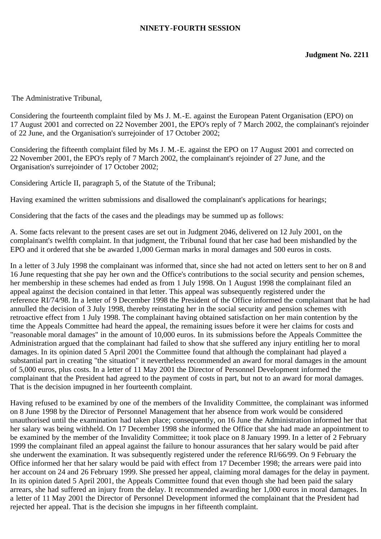## **NINETY-FOURTH SESSION**

The Administrative Tribunal,

Considering the fourteenth complaint filed by Ms J. M.-E. against the European Patent Organisation (EPO) on 17 August 2001 and corrected on 22 November 2001, the EPO's reply of 7 March 2002, the complainant's rejoinder of 22 June, and the Organisation's surrejoinder of 17 October 2002;

Considering the fifteenth complaint filed by Ms J. M.-E. against the EPO on 17 August 2001 and corrected on 22 November 2001, the EPO's reply of 7 March 2002, the complainant's rejoinder of 27 June, and the Organisation's surrejoinder of 17 October 2002;

Considering Article II, paragraph 5, of the Statute of the Tribunal;

Having examined the written submissions and disallowed the complainant's applications for hearings;

Considering that the facts of the cases and the pleadings may be summed up as follows:

A. Some facts relevant to the present cases are set out in Judgment 2046, delivered on 12 July 2001, on the complainant's twelfth complaint. In that judgment, the Tribunal found that her case had been mishandled by the EPO and it ordered that she be awarded 1,000 German marks in moral damages and 500 euros in costs.

In a letter of 3 July 1998 the complainant was informed that, since she had not acted on letters sent to her on 8 and 16 June requesting that she pay her own and the Office's contributions to the social security and pension schemes, her membership in these schemes had ended as from 1 July 1998. On 1 August 1998 the complainant filed an appeal against the decision contained in that letter. This appeal was subsequently registered under the reference RI/74/98. In a letter of 9 December 1998 the President of the Office informed the complainant that he had annulled the decision of 3 July 1998, thereby reinstating her in the social security and pension schemes with retroactive effect from 1 July 1998. The complainant having obtained satisfaction on her main contention by the time the Appeals Committee had heard the appeal, the remaining issues before it were her claims for costs and "reasonable moral damages" in the amount of 10,000 euros. In its submissions before the Appeals Committee the Administration argued that the complainant had failed to show that she suffered any injury entitling her to moral damages. In its opinion dated 5 April 2001 the Committee found that although the complainant had played a substantial part in creating "the situation" it nevertheless recommended an award for moral damages in the amount of 5,000 euros, plus costs. In a letter of 11 May 2001 the Director of Personnel Development informed the complainant that the President had agreed to the payment of costs in part, but not to an award for moral damages. That is the decision impugned in her fourteenth complaint.

Having refused to be examined by one of the members of the Invalidity Committee, the complainant was informed on 8 June 1998 by the Director of Personnel Management that her absence from work would be considered unauthorised until the examination had taken place; consequently, on 16 June the Administration informed her that her salary was being withheld. On 17 December 1998 she informed the Office that she had made an appointment to be examined by the member of the Invalidity Committee; it took place on 8 January 1999. In a letter of 2 February 1999 the complainant filed an appeal against the failure to honour assurances that her salary would be paid after she underwent the examination. It was subsequently registered under the reference RI/66/99. On 9 February the Office informed her that her salary would be paid with effect from 17 December 1998; the arrears were paid into her account on 24 and 26 February 1999. She pressed her appeal, claiming moral damages for the delay in payment. In its opinion dated 5 April 2001, the Appeals Committee found that even though she had been paid the salary arrears, she had suffered an injury from the delay. It recommended awarding her 1,000 euros in moral damages. In a letter of 11 May 2001 the Director of Personnel Development informed the complainant that the President had rejected her appeal. That is the decision she impugns in her fifteenth complaint.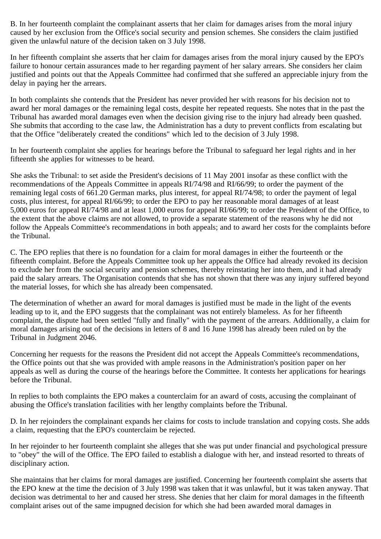B. In her fourteenth complaint the complainant asserts that her claim for damages arises from the moral injury caused by her exclusion from the Office's social security and pension schemes. She considers the claim justified given the unlawful nature of the decision taken on 3 July 1998.

In her fifteenth complaint she asserts that her claim for damages arises from the moral injury caused by the EPO's failure to honour certain assurances made to her regarding payment of her salary arrears. She considers her claim justified and points out that the Appeals Committee had confirmed that she suffered an appreciable injury from the delay in paying her the arrears.

In both complaints she contends that the President has never provided her with reasons for his decision not to award her moral damages or the remaining legal costs, despite her repeated requests. She notes that in the past the Tribunal has awarded moral damages even when the decision giving rise to the injury had already been quashed. She submits that according to the case law, the Administration has a duty to prevent conflicts from escalating but that the Office "deliberately created the conditions" which led to the decision of 3 July 1998.

In her fourteenth complaint she applies for hearings before the Tribunal to safeguard her legal rights and in her fifteenth she applies for witnesses to be heard.

She asks the Tribunal: to set aside the President's decisions of 11 May 2001 insofar as these conflict with the recommendations of the Appeals Committee in appeals RI/74/98 and RI/66/99; to order the payment of the remaining legal costs of 661.20 German marks, plus interest, for appeal RI/74/98; to order the payment of legal costs, plus interest, for appeal RI/66/99; to order the EPO to pay her reasonable moral damages of at least 5,000 euros for appeal RI/74/98 and at least 1,000 euros for appeal RI/66/99; to order the President of the Office, to the extent that the above claims are not allowed, to provide a separate statement of the reasons why he did not follow the Appeals Committee's recommendations in both appeals; and to award her costs for the complaints before the Tribunal.

C. The EPO replies that there is no foundation for a claim for moral damages in either the fourteenth or the fifteenth complaint. Before the Appeals Committee took up her appeals the Office had already revoked its decision to exclude her from the social security and pension schemes, thereby reinstating her into them, and it had already paid the salary arrears. The Organisation contends that she has not shown that there was any injury suffered beyond the material losses, for which she has already been compensated.

The determination of whether an award for moral damages is justified must be made in the light of the events leading up to it, and the EPO suggests that the complainant was not entirely blameless. As for her fifteenth complaint, the dispute had been settled "fully and finally" with the payment of the arrears. Additionally, a claim for moral damages arising out of the decisions in letters of 8 and 16 June 1998 has already been ruled on by the Tribunal in Judgment 2046.

Concerning her requests for the reasons the President did not accept the Appeals Committee's recommendations, the Office points out that she was provided with ample reasons in the Administration's position paper on her appeals as well as during the course of the hearings before the Committee. It contests her applications for hearings before the Tribunal.

In replies to both complaints the EPO makes a counterclaim for an award of costs, accusing the complainant of abusing the Office's translation facilities with her lengthy complaints before the Tribunal.

D. In her rejoinders the complainant expands her claims for costs to include translation and copying costs. She adds a claim, requesting that the EPO's counterclaim be rejected.

In her rejoinder to her fourteenth complaint she alleges that she was put under financial and psychological pressure to "obey" the will of the Office. The EPO failed to establish a dialogue with her, and instead resorted to threats of disciplinary action.

She maintains that her claims for moral damages are justified. Concerning her fourteenth complaint she asserts that the EPO knew at the time the decision of 3 July 1998 was taken that it was unlawful, but it was taken anyway. That decision was detrimental to her and caused her stress. She denies that her claim for moral damages in the fifteenth complaint arises out of the same impugned decision for which she had been awarded moral damages in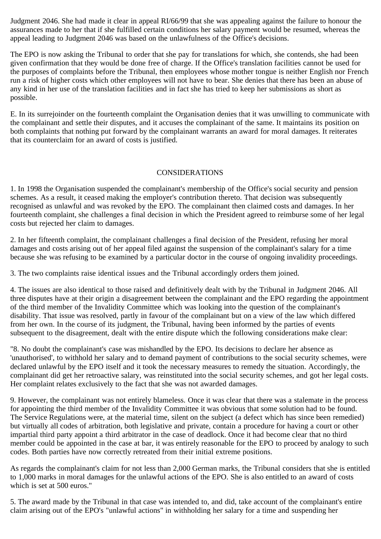Judgment 2046. She had made it clear in appeal RI/66/99 that she was appealing against the failure to honour the assurances made to her that if she fulfilled certain conditions her salary payment would be resumed, whereas the appeal leading to Judgment 2046 was based on the unlawfulness of the Office's decisions.

The EPO is now asking the Tribunal to order that she pay for translations for which, she contends, she had been given confirmation that they would be done free of charge. If the Office's translation facilities cannot be used for the purposes of complaints before the Tribunal, then employees whose mother tongue is neither English nor French run a risk of higher costs which other employees will not have to bear. She denies that there has been an abuse of any kind in her use of the translation facilities and in fact she has tried to keep her submissions as short as possible.

E. In its surrejoinder on the fourteenth complaint the Organisation denies that it was unwilling to communicate with the complainant and settle their disputes, and it accuses the complainant of the same. It maintains its position on both complaints that nothing put forward by the complainant warrants an award for moral damages. It reiterates that its counterclaim for an award of costs is justified.

## CONSIDERATIONS

1. In 1998 the Organisation suspended the complainant's membership of the Office's social security and pension schemes. As a result, it ceased making the employer's contribution thereto. That decision was subsequently recognised as unlawful and was revoked by the EPO. The complainant then claimed costs and damages. In her fourteenth complaint, she challenges a final decision in which the President agreed to reimburse some of her legal costs but rejected her claim to damages.

2. In her fifteenth complaint, the complainant challenges a final decision of the President, refusing her moral damages and costs arising out of her appeal filed against the suspension of the complainant's salary for a time because she was refusing to be examined by a particular doctor in the course of ongoing invalidity proceedings.

3. The two complaints raise identical issues and the Tribunal accordingly orders them joined.

4. The issues are also identical to those raised and definitively dealt with by the Tribunal in Judgment 2046. All three disputes have at their origin a disagreement between the complainant and the EPO regarding the appointment of the third member of the Invalidity Committee which was looking into the question of the complainant's disability. That issue was resolved, partly in favour of the complainant but on a view of the law which differed from her own. In the course of its judgment, the Tribunal, having been informed by the parties of events subsequent to the disagreement, dealt with the entire dispute which the following considerations make clear:

"8. No doubt the complainant's case was mishandled by the EPO. Its decisions to declare her absence as 'unauthorised', to withhold her salary and to demand payment of contributions to the social security schemes, were declared unlawful by the EPO itself and it took the necessary measures to remedy the situation. Accordingly, the complainant did get her retroactive salary, was reinstituted into the social security schemes, and got her legal costs. Her complaint relates exclusively to the fact that she was not awarded damages.

9. However, the complainant was not entirely blameless. Once it was clear that there was a stalemate in the process for appointing the third member of the Invalidity Committee it was obvious that some solution had to be found. The Service Regulations were, at the material time, silent on the subject (a defect which has since been remedied) but virtually all codes of arbitration, both legislative and private, contain a procedure for having a court or other impartial third party appoint a third arbitrator in the case of deadlock. Once it had become clear that no third member could be appointed in the case at bar, it was entirely reasonable for the EPO to proceed by analogy to such codes. Both parties have now correctly retreated from their initial extreme positions.

As regards the complainant's claim for not less than 2,000 German marks, the Tribunal considers that she is entitled to 1,000 marks in moral damages for the unlawful actions of the EPO. She is also entitled to an award of costs which is set at 500 euros."

5. The award made by the Tribunal in that case was intended to, and did, take account of the complainant's entire claim arising out of the EPO's "unlawful actions" in withholding her salary for a time and suspending her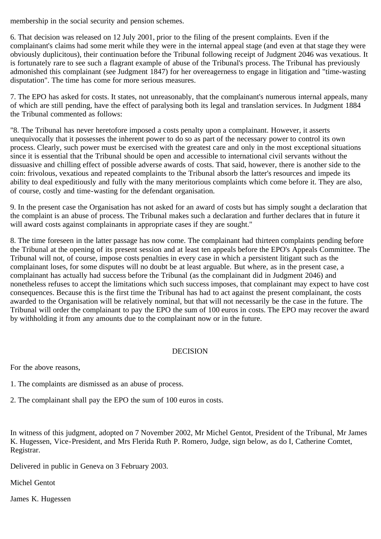membership in the social security and pension schemes.

6. That decision was released on 12 July 2001, prior to the filing of the present complaints. Even if the complainant's claims had some merit while they were in the internal appeal stage (and even at that stage they were obviously duplicitous), their continuation before the Tribunal following receipt of Judgment 2046 was vexatious. It is fortunately rare to see such a flagrant example of abuse of the Tribunal's process. The Tribunal has previously admonished this complainant (see Judgment 1847) for her overeagerness to engage in litigation and "time-wasting disputation". The time has come for more serious measures.

7. The EPO has asked for costs. It states, not unreasonably, that the complainant's numerous internal appeals, many of which are still pending, have the effect of paralysing both its legal and translation services. In Judgment 1884 the Tribunal commented as follows:

"8. The Tribunal has never heretofore imposed a costs penalty upon a complainant. However, it asserts unequivocally that it possesses the inherent power to do so as part of the necessary power to control its own process. Clearly, such power must be exercised with the greatest care and only in the most exceptional situations since it is essential that the Tribunal should be open and accessible to international civil servants without the dissuasive and chilling effect of possible adverse awards of costs. That said, however, there is another side to the coin: frivolous, vexatious and repeated complaints to the Tribunal absorb the latter's resources and impede its ability to deal expeditiously and fully with the many meritorious complaints which come before it. They are also, of course, costly and time-wasting for the defendant organisation.

9. In the present case the Organisation has not asked for an award of costs but has simply sought a declaration that the complaint is an abuse of process. The Tribunal makes such a declaration and further declares that in future it will award costs against complainants in appropriate cases if they are sought."

8. The time foreseen in the latter passage has now come. The complainant had thirteen complaints pending before the Tribunal at the opening of its present session and at least ten appeals before the EPO's Appeals Committee. The Tribunal will not, of course, impose costs penalties in every case in which a persistent litigant such as the complainant loses, for some disputes will no doubt be at least arguable. But where, as in the present case, a complainant has actually had success before the Tribunal (as the complainant did in Judgment 2046) and nonetheless refuses to accept the limitations which such success imposes, that complainant may expect to have cost consequences. Because this is the first time the Tribunal has had to act against the present complainant, the costs awarded to the Organisation will be relatively nominal, but that will not necessarily be the case in the future. The Tribunal will order the complainant to pay the EPO the sum of 100 euros in costs. The EPO may recover the award by withholding it from any amounts due to the complainant now or in the future.

## DECISION

For the above reasons,

- 1. The complaints are dismissed as an abuse of process.
- 2. The complainant shall pay the EPO the sum of 100 euros in costs.

In witness of this judgment, adopted on 7 November 2002, Mr Michel Gentot, President of the Tribunal, Mr James K. Hugessen, Vice-President, and Mrs Flerida Ruth P. Romero, Judge, sign below, as do I, Catherine Comtet, Registrar.

Delivered in public in Geneva on 3 February 2003.

Michel Gentot

James K. Hugessen